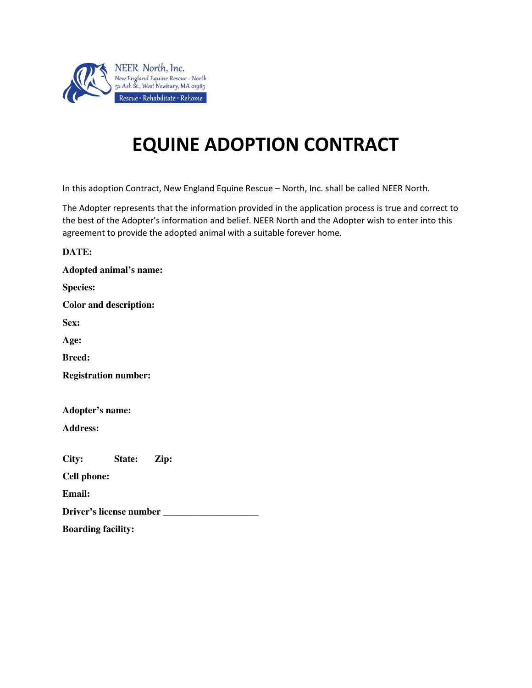

## **EQUINE ADOPTION CONTRACT**

In this adoption Contract, New England Equine Rescue – North, Inc. shall be called NEER North.

The Adopter represents that the information provided in the application process is true and correct to the best of the Adopter's information and belief. NEER North and the Adopter wish to enter into this agreement to provide the adopted animal with a suitable forever home.

| DATE:                          |
|--------------------------------|
| Adopted animal's name:         |
| <b>Species:</b>                |
| <b>Color and description:</b>  |
| Sex:                           |
| Age:                           |
| <b>Breed:</b>                  |
| <b>Registration number:</b>    |
|                                |
| Adopter's name:                |
| <b>Address:</b>                |
|                                |
| City: State: Zip:              |
| <b>Cell phone:</b>             |
| <b>Email:</b>                  |
| Driver's license number ______ |
| <b>Boarding facility:</b>      |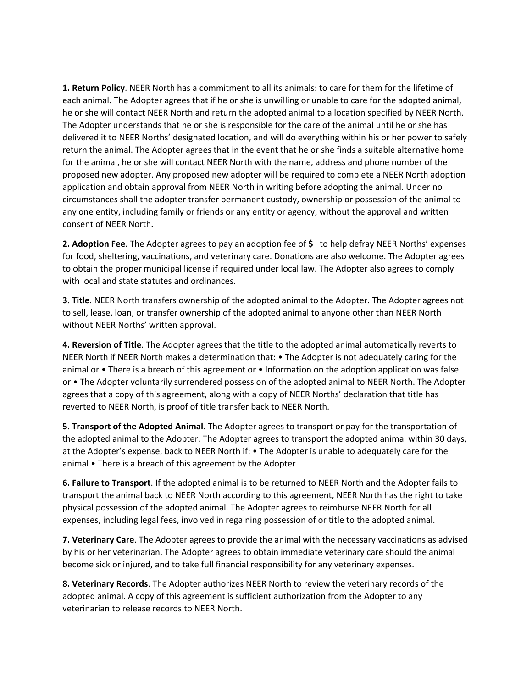**1. Return Policy**. NEER North has a commitment to all its animals: to care for them for the lifetime of each animal. The Adopter agrees that if he or she is unwilling or unable to care for the adopted animal, he or she will contact NEER North and return the adopted animal to a location specified by NEER North. The Adopter understands that he or she is responsible for the care of the animal until he or she has delivered it to NEER Norths' designated location, and will do everything within his or her power to safely return the animal. The Adopter agrees that in the event that he or she finds a suitable alternative home for the animal, he or she will contact NEER North with the name, address and phone number of the proposed new adopter. Any proposed new adopter will be required to complete a NEER North adoption application and obtain approval from NEER North in writing before adopting the animal. Under no circumstances shall the adopter transfer permanent custody, ownership or possession of the animal to any one entity, including family or friends or any entity or agency, without the approval and written consent of NEER North**.**

**2. Adoption Fee**. The Adopter agrees to pay an adoption fee of **\$** to help defray NEER Norths' expenses for food, sheltering, vaccinations, and veterinary care. Donations are also welcome. The Adopter agrees to obtain the proper municipal license if required under local law. The Adopter also agrees to comply with local and state statutes and ordinances.

**3. Title**. NEER North transfers ownership of the adopted animal to the Adopter. The Adopter agrees not to sell, lease, loan, or transfer ownership of the adopted animal to anyone other than NEER North without NEER Norths' written approval.

**4. Reversion of Title**. The Adopter agrees that the title to the adopted animal automatically reverts to NEER North if NEER North makes a determination that: • The Adopter is not adequately caring for the animal or • There is a breach of this agreement or • Information on the adoption application was false or • The Adopter voluntarily surrendered possession of the adopted animal to NEER North. The Adopter agrees that a copy of this agreement, along with a copy of NEER Norths' declaration that title has reverted to NEER North, is proof of title transfer back to NEER North.

**5. Transport of the Adopted Animal**. The Adopter agrees to transport or pay for the transportation of the adopted animal to the Adopter. The Adopter agrees to transport the adopted animal within 30 days, at the Adopter's expense, back to NEER North if: • The Adopter is unable to adequately care for the animal • There is a breach of this agreement by the Adopter

**6. Failure to Transport**. If the adopted animal is to be returned to NEER North and the Adopter fails to transport the animal back to NEER North according to this agreement, NEER North has the right to take physical possession of the adopted animal. The Adopter agrees to reimburse NEER North for all expenses, including legal fees, involved in regaining possession of or title to the adopted animal.

**7. Veterinary Care**. The Adopter agrees to provide the animal with the necessary vaccinations as advised by his or her veterinarian. The Adopter agrees to obtain immediate veterinary care should the animal become sick or injured, and to take full financial responsibility for any veterinary expenses.

**8. Veterinary Records**. The Adopter authorizes NEER North to review the veterinary records of the adopted animal. A copy of this agreement is sufficient authorization from the Adopter to any veterinarian to release records to NEER North.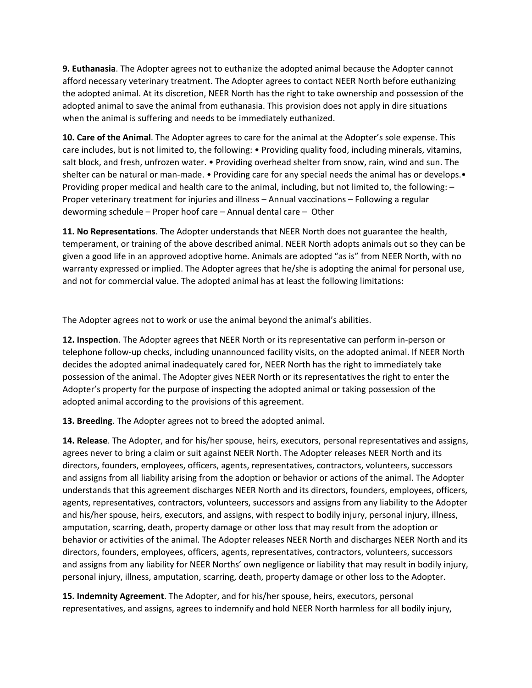**9. Euthanasia**. The Adopter agrees not to euthanize the adopted animal because the Adopter cannot afford necessary veterinary treatment. The Adopter agrees to contact NEER North before euthanizing the adopted animal. At its discretion, NEER North has the right to take ownership and possession of the adopted animal to save the animal from euthanasia. This provision does not apply in dire situations when the animal is suffering and needs to be immediately euthanized.

**10. Care of the Animal**. The Adopter agrees to care for the animal at the Adopter's sole expense. This care includes, but is not limited to, the following: • Providing quality food, including minerals, vitamins, salt block, and fresh, unfrozen water. • Providing overhead shelter from snow, rain, wind and sun. The shelter can be natural or man-made. • Providing care for any special needs the animal has or develops. • Providing proper medical and health care to the animal, including, but not limited to, the following: – Proper veterinary treatment for injuries and illness – Annual vaccinations – Following a regular deworming schedule – Proper hoof care – Annual dental care – Other

**11. No Representations**. The Adopter understands that NEER North does not guarantee the health, temperament, or training of the above described animal. NEER North adopts animals out so they can be given a good life in an approved adoptive home. Animals are adopted "as is" from NEER North, with no warranty expressed or implied. The Adopter agrees that he/she is adopting the animal for personal use, and not for commercial value. The adopted animal has at least the following limitations:

The Adopter agrees not to work or use the animal beyond the animal's abilities.

**12. Inspection**. The Adopter agrees that NEER North or its representative can perform in-person or telephone follow-up checks, including unannounced facility visits, on the adopted animal. If NEER North decides the adopted animal inadequately cared for, NEER North has the right to immediately take possession of the animal. The Adopter gives NEER North or its representatives the right to enter the Adopter's property for the purpose of inspecting the adopted animal or taking possession of the adopted animal according to the provisions of this agreement.

**13. Breeding**. The Adopter agrees not to breed the adopted animal.

**14. Release**. The Adopter, and for his/her spouse, heirs, executors, personal representatives and assigns, agrees never to bring a claim or suit against NEER North. The Adopter releases NEER North and its directors, founders, employees, officers, agents, representatives, contractors, volunteers, successors and assigns from all liability arising from the adoption or behavior or actions of the animal. The Adopter understands that this agreement discharges NEER North and its directors, founders, employees, officers, agents, representatives, contractors, volunteers, successors and assigns from any liability to the Adopter and his/her spouse, heirs, executors, and assigns, with respect to bodily injury, personal injury, illness, amputation, scarring, death, property damage or other loss that may result from the adoption or behavior or activities of the animal. The Adopter releases NEER North and discharges NEER North and its directors, founders, employees, officers, agents, representatives, contractors, volunteers, successors and assigns from any liability for NEER Norths' own negligence or liability that may result in bodily injury, personal injury, illness, amputation, scarring, death, property damage or other loss to the Adopter.

**15. Indemnity Agreement**. The Adopter, and for his/her spouse, heirs, executors, personal representatives, and assigns, agrees to indemnify and hold NEER North harmless for all bodily injury,